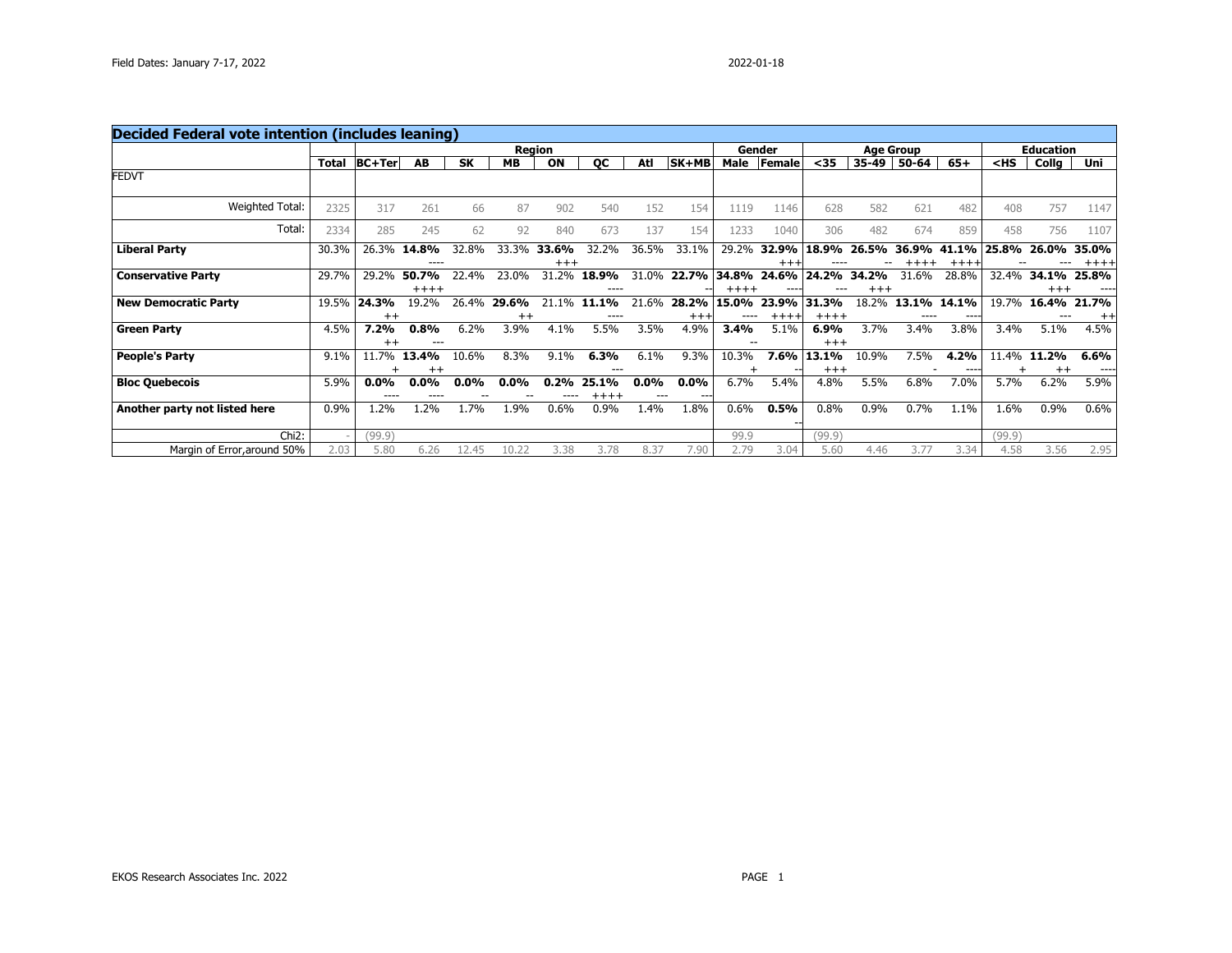| <b>Decided Federal vote intention (includes leaning)</b> |       |                    |                  |           |           |                   |                  |                |                    |                 |                   |                  |                  |                  |                  |        |                   |               |
|----------------------------------------------------------|-------|--------------------|------------------|-----------|-----------|-------------------|------------------|----------------|--------------------|-----------------|-------------------|------------------|------------------|------------------|------------------|--------|-------------------|---------------|
|                                                          |       |                    |                  |           |           | <b>Region</b>     |                  |                |                    |                 | Gender            |                  |                  | <b>Age Group</b> |                  |        | <b>Education</b>  |               |
|                                                          | Total | <b>BC+Ter</b>      | AB               | <b>SK</b> | <b>MB</b> | ON                | QC               | Atl            | SK+MB              | Male            | Female            | $35$             | 35-49            | 50-64            | $65+$            | $<$ HS | Collg             | Uni           |
| <b>FEDVT</b>                                             |       |                    |                  |           |           |                   |                  |                |                    |                 |                   |                  |                  |                  |                  |        |                   |               |
| Weighted Total:                                          | 2325  | 317                | 261              | 66        | 87        | 902               | 540              | 152            | 154                | 1119            | 1146              | 628              | 582              | 621              | 482              | 408    | 757               | 1147          |
| Total:                                                   | 2334  | 285                | 245              | 62        | 92        | 840               | 673              | 137            | 154                | 1233            | 1040              | 306              | 482              | 674              | 859              | 458    | 756               | 1107          |
| <b>Liberal Party</b>                                     | 30.3% | 26.3%              | 14.8%<br>----    | 32.8%     | 33.3%     | 33.6%<br>$^{+++}$ | 32.2%            | 36.5%          | 33.1%              | 29.2%           | 32.9%<br>$^{+++}$ | 18.9%            | 26.5%            | 36.9%            | 41.1%<br>$+++++$ | 25.8%  | 26.0%             | 35.0%<br>++++ |
| <b>Conservative Party</b>                                | 29.7% | 29.2%              | 50.7%<br>$+++++$ | 22.4%     | 23.0%     | 31.2%             | 18.9%<br>----    | 31.0%          | 22.7%              | 34.8%<br>$++++$ | 24.6%<br>----     | 24<br>.2%        | 34.2%<br>$^{++}$ | 31.6%            | 28.8%            | 32.4%  | 34.1%<br>$^{+++}$ | 25.8%         |
| <b>New Democratic Party</b>                              | 19.5% | 24.3%              | 19.2%            | 26.4%     | 29.6%     | 21.1%             | 11.1%            | 21.6%          | 28.2%              | 15.0%           | 23.9%             | 31<br>.3%        | 18.2%            | 13.1%            | 14.1%            | 19.7%  | 16.4%             | 21.7%         |
|                                                          |       | $++$               |                  |           | $^{++}$   |                   | ----             |                | $^{+++}$           | ----            | $++++$            | $+++++$          |                  |                  | ----             |        |                   | $^{++}$       |
| <b>Green Party</b>                                       | 4.5%  | 7.2%<br>$^{++}$    | 0.8%<br>---      | 6.2%      | 3.9%      | 4.1%              | 5.5%             | 3.5%           | 4.9%               | 3.4%            | 5.1%              | 6.9%<br>$^{+++}$ | 3.7%             | 3.4%             | 3.8%             | 3.4%   | 5.1%              | 4.5%          |
| <b>People's Party</b>                                    | 9.1%  | 11.7%              | 13.4%            | 10.6%     | 8.3%      | 9.1%              | 6.3%             | 6.1%           | 9.3%               | 10.3%           | 7.6%              | 13.1%            | 10.9%            | 7.5%             | 4.2%             | 11.4%  | 11.2%             | 6.6%          |
|                                                          |       |                    | $^{++}$          |           |           |                   | ---              |                |                    |                 |                   | $+++$            |                  |                  | $- - -$          |        | $^{++}$           | ----          |
| <b>Bloc Quebecois</b>                                    | 5.9%  | $0.0\%$<br>$- - -$ | $0.0\%$          | $0.0\%$   | $0.0\%$   | 0.2%              | 25.1%<br>$+++++$ | $0.0\%$<br>--- | $0.0\%$<br>$- - -$ | 6.7%            | 5.4%              | 4.8%             | 5.5%             | 6.8%             | 7.0%             | 5.7%   | 6.2%              | 5.9%          |
| Another party not listed here                            | 0.9%  | .2%                | .2%              | 1.7%      | 1.9%      | 0.6%              | 0.9%             | 1.4%           | 1.8%               | 0.6%            | 0.5%              | 0.8%             | 0.9%             | 0.7%             | 1.1%             | 1.6%   | 0.9%              | 0.6%          |
| $Chi2$ :                                                 |       | (99.9)             |                  |           |           |                   |                  |                |                    | 99.9            |                   | (99.9)           |                  |                  |                  | (99.9) |                   |               |
| Margin of Error, around 50%                              | 2.03  | 5.80               | 6.26             | 12.45     | 10.22     | 3.38              | 3.78             | 8.37           | 7.90               | 2.79            | 3.04              | 5.60             | 4.46             | 3.77             | 3.34             | 4.58   | 3.56              | 2.95          |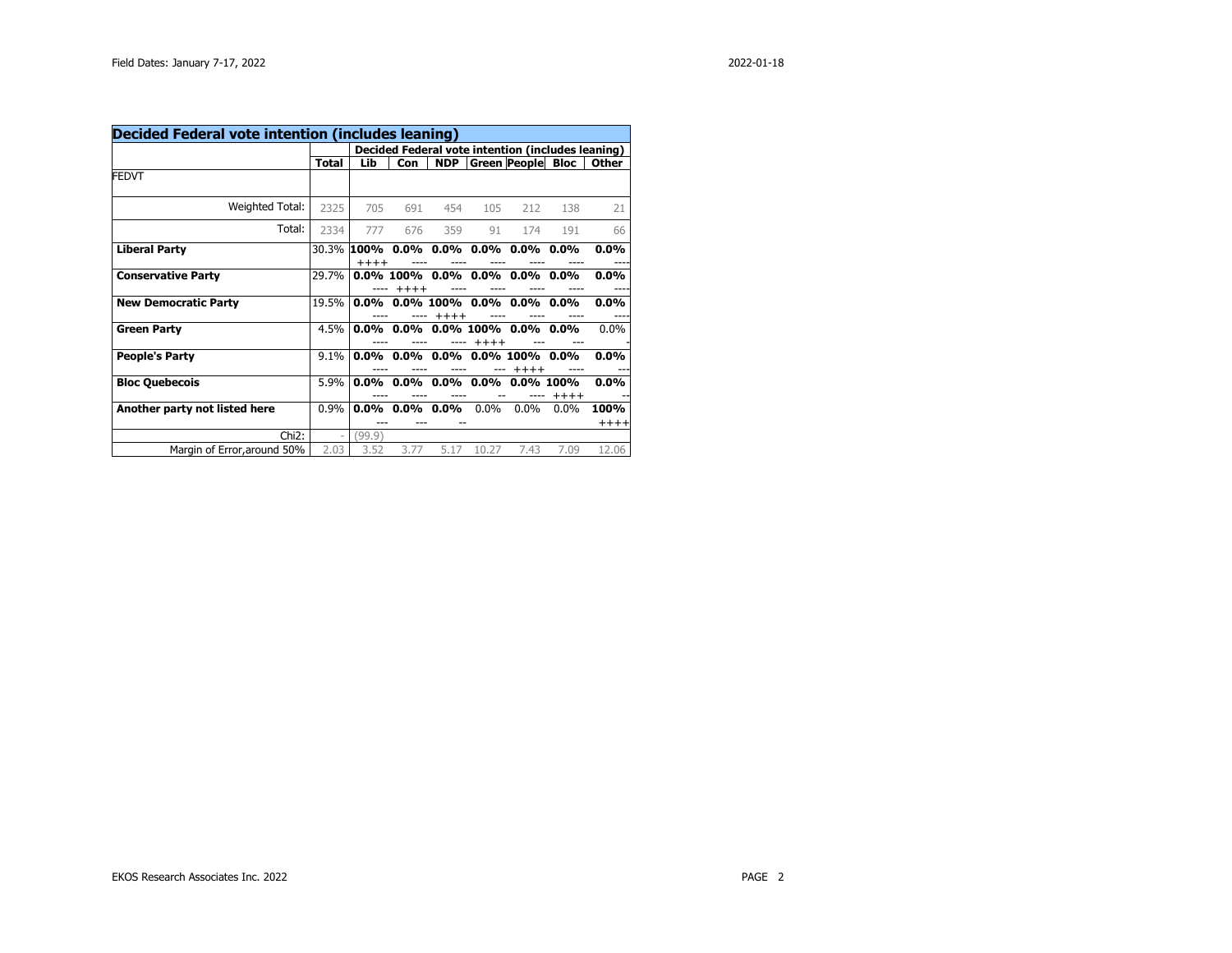| Decided Federal vote intention (includes leaning) |       |                       |         |              |         |                                                   |         |                 |
|---------------------------------------------------|-------|-----------------------|---------|--------------|---------|---------------------------------------------------|---------|-----------------|
|                                                   |       |                       |         |              |         | Decided Federal vote intention (includes leaning) |         |                 |
|                                                   | Total | Lib                   | Con     | <b>NDP</b>   |         | <b>Green People Bloc</b>                          |         | <b>Other</b>    |
| FEDVT                                             |       |                       |         |              |         |                                                   |         |                 |
| Weighted Total:                                   | 2325  | 705                   | 691     | 454          | 105     | 212                                               | 138     | 21              |
| Total:                                            | 2334  | 777                   | 676     | 359          | 91      | 174                                               | 191     | 66              |
| <b>Liberal Party</b>                              |       | 30.3% 100%<br>$+++++$ |         |              |         | $0.0\%$ 0.0% 0.0% 0.0% 0.0%                       |         | $0.0\%$<br>---  |
| <b>Conservative Party</b>                         | 29.7% |                       | $+++++$ |              |         | $0.0\%$ 100% $0.0\%$ 0.0% 0.0% 0.0% 0.0%          |         | $0.0\%$         |
| <b>New Democratic Party</b>                       | 19.5% | 0.0%                  |         | $+++++$      |         | $0.0\%$ 100% $0.0\%$ 0.0% 0.0%                    |         | $0.0\%$         |
| <b>Green Party</b>                                | 4.5%  | 0.0%                  |         |              | $+++++$ | $0.0\%$ 0.0% 100% 0.0% 0.0%                       |         | 0.0%            |
| <b>People's Party</b>                             | 9.1%  | 0.0%                  |         | $0.0\%$ 0.0% |         | $0.0\%$ 100% $0.0\%$<br>$+++++$                   |         | $0.0\%$         |
| <b>Bloc Quebecois</b>                             | 5.9%  | $0.0\%$               | $0.0\%$ |              |         | $0.0\%$ $0.0\%$ $0.0\%$ 100%                      | $+++++$ | $0.0\%$         |
| Another party not listed here                     | 0.9%  | $0.0\%$               | $0.0\%$ | $0.0\%$      | 0.0%    | $0.0\%$                                           | $0.0\%$ | 100%<br>$+++++$ |
| Chi <sub>2</sub> :                                |       | (99.9)                |         |              |         |                                                   |         |                 |
| Margin of Error, around 50%                       | 2.03  | 3.52                  | 3.77    | 5.17         | 10.27   | 7.43                                              | 7.09    | 12.06           |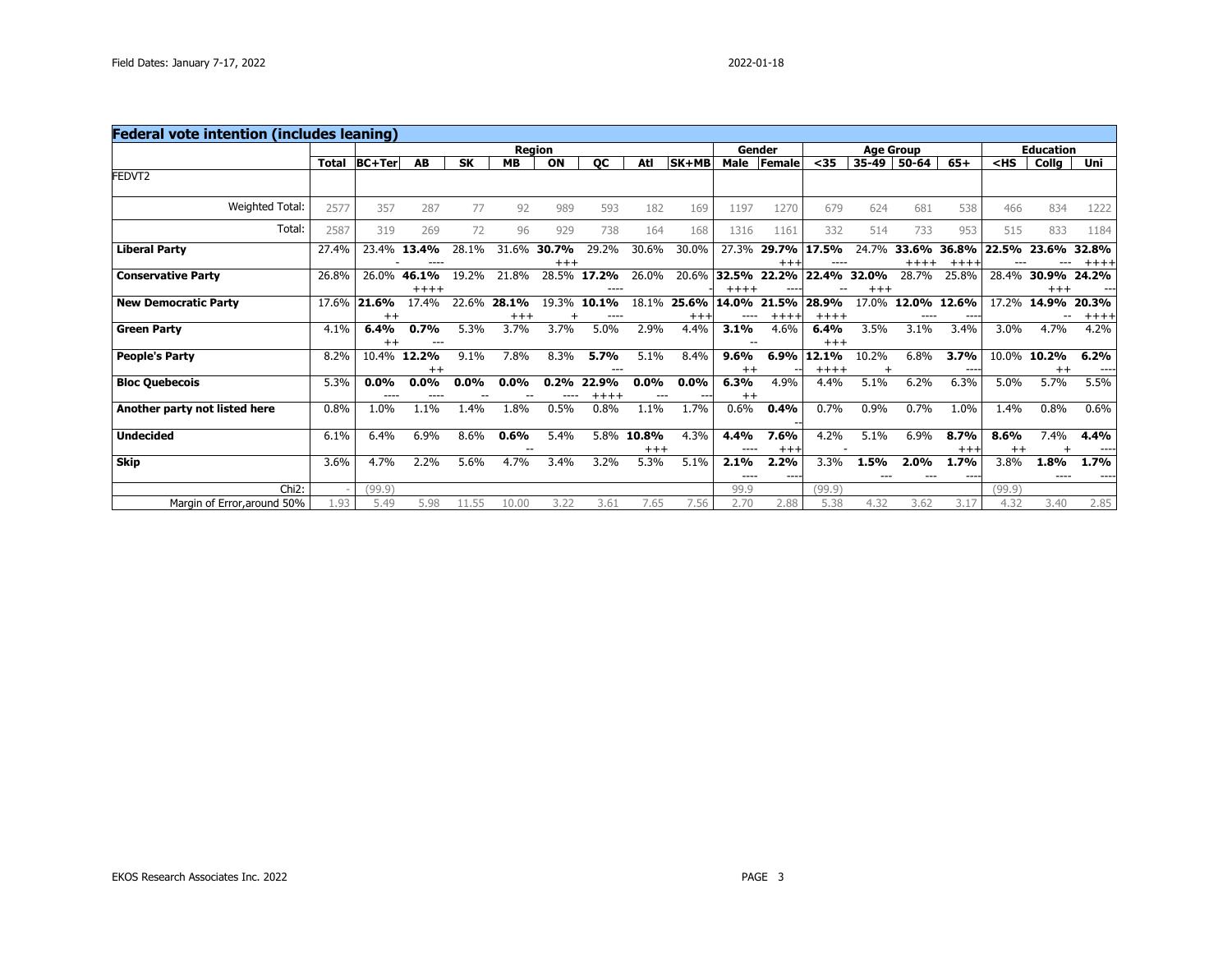| Total |              | AB               | <b>SK</b>                                                                                     | <b>MB</b> | ON       | QC                     | Atl            |               | Male         | Female                         | $35$                                          | 35-49                       | $50 - 64$                        | $65+$            | $<$ HS                                      | Collg    | Uni                                             |
|-------|--------------|------------------|-----------------------------------------------------------------------------------------------|-----------|----------|------------------------|----------------|---------------|--------------|--------------------------------|-----------------------------------------------|-----------------------------|----------------------------------|------------------|---------------------------------------------|----------|-------------------------------------------------|
|       |              |                  |                                                                                               |           |          |                        |                |               |              |                                |                                               |                             |                                  |                  |                                             |          |                                                 |
| 2577  | 357          | 287              | 77                                                                                            | 92        | 989      | 593                    | 182            | 169           | 1197         | 1270                           | 679                                           | 624                         | 681                              | 538              | 466                                         | 834      | 1222                                            |
| 2587  | 319          | 269              | 72                                                                                            | 96        | 929      | 738                    | 164            | 168           | 1316         | 1161                           | 332                                           | 514                         | 733                              | 953              | 515                                         | 833      | 1184                                            |
| 27.4% |              | 13.4%            | 28.1%                                                                                         | 31.6%     | $+++$    | 29.2%                  | 30.6%          | 30.0%         | 27.3%        | 29.7%<br>$^{++}$               | 17.5%                                         | 24.7%                       | 33.6%                            | 36.8%<br>$+++$   | 22.5%                                       | 23.6%    | 32.8%<br>++++                                   |
| 26.8% | 26.0%        | 46.1%<br>$+++++$ | 19.2%                                                                                         | 21.8%     |          | 17.2%                  | 26.0%          | 20.6%         |              | ---                            | 22.4%                                         | 32.0%<br>$+++$              | 28.7%                            | 25.8%            | 28.4%                                       | $^{+++}$ | 24.2%                                           |
| 17.6% | 21.6%        | 17.4%            | 22.6%                                                                                         | 28.1%     |          | 10.1%                  | 18.1%          | 25.6%<br>$++$ | 14.0%        | $++++$                         | 28.9%                                         | 17.0%                       |                                  | 12.6%<br>---     | 17.2%                                       | 14.9%    | 20.3%<br>$++++$                                 |
| 4.1%  | 6.4%         | 0.7%             | 5.3%                                                                                          | 3.7%      | 3.7%     | 5.0%                   | 2.9%           | 4.4%          | 3.1%         | 4.6%                           | 6.4%                                          | 3.5%                        | 3.1%                             | 3.4%             | 3.0%                                        | 4.7%     | 4.2%                                            |
| 8.2%  | 10.4%        | 12.2%<br>$^{++}$ | 9.1%                                                                                          | 7.8%      | 8.3%     | 5.7%                   | 5.1%           | 8.4%          | 9.6%         | 6.9%                           | 12.1%                                         | 10.2%                       | 6.8%                             | 3.7%<br>$- - -$  | 10.0%                                       | 10.2%    | 6.2%<br>$---$                                   |
| 5.3%  | 0.0%<br>---- | $0.0\%$          | $0.0\%$                                                                                       | $0.0\%$   | 0.2%     | 22.9%<br>$++++$        | 0.0%           | $0.0\%$       | 6.3%         | 4.9%                           | 4.4%                                          | 5.1%                        | 6.2%                             | 6.3%             | 5.0%                                        | 5.7%     | 5.5%                                            |
| 0.8%  | 1.0%         | $1.1\%$          | 1.4%                                                                                          | 1.8%      | 0.5%     | 0.8%                   | 1.1%           | 1.7%          | 0.6%         | 0.4%                           | 0.7%                                          | 0.9%                        | 0.7%                             | 1.0%             | 1.4%                                        | 0.8%     | 0.6%                                            |
| 6.1%  | 6.4%         | 6.9%             | 8.6%                                                                                          | 0.6%      | 5.4%     | 5.8%                   | 10.8%          | 4.3%          | 4.4%<br>---- | 7.6%                           | 4.2%                                          | 5.1%                        |                                  | 8.7%             | 8.6%                                        | 7.4%     | 4.4%<br>$---$                                   |
| 3.6%  | 4.7%         | 2.2%             | 5.6%                                                                                          | 4.7%      | 3.4%     | 3.2%                   | 5.3%           | 5.1%          | 2.1%         | 2.2%                           | 3.3%                                          | 1.5%                        | 2.0%                             | 1.7%             | 3.8%                                        | 1.8%     | 1.7%                                            |
|       |              |                  |                                                                                               |           |          |                        |                |               |              |                                |                                               |                             |                                  |                  |                                             |          |                                                 |
| 1.93  | 5.49         | 5.98             | 11.55                                                                                         | 10.00     | 3.22     | 3.61                   | 7.65           | 7.56          | 2.70         | 2.88                           | 5.38                                          | 4.32                        | 3.62                             | 3.17             | 4.32                                        | 3.40     | 2.85                                            |
|       |              | (99.9)           | <b>Federal vote intention (includes leaning)</b><br><b>BC+Ter</b><br>23.4%<br>$^{++}$<br>$++$ |           | $^{+++}$ | <b>Region</b><br>30.7% | 28.5%<br>19.3% | ---           | $^{++}$      | SK+MB<br>32.5%<br>----<br>99.9 | Gender<br>22.2%<br>$+++++$<br>$^{++}$<br>$++$ | 21.5%<br>$^{+++}$<br>(99.9) | --<br>$+++++$<br>$+++$<br>$++++$ | <b>Age Group</b> | $+++++$<br>12.0%<br>----<br>6.9%<br>$^{++}$ | (99.9)   | <b>Education</b><br>30.9%<br>$^{++}$<br>$^{++}$ |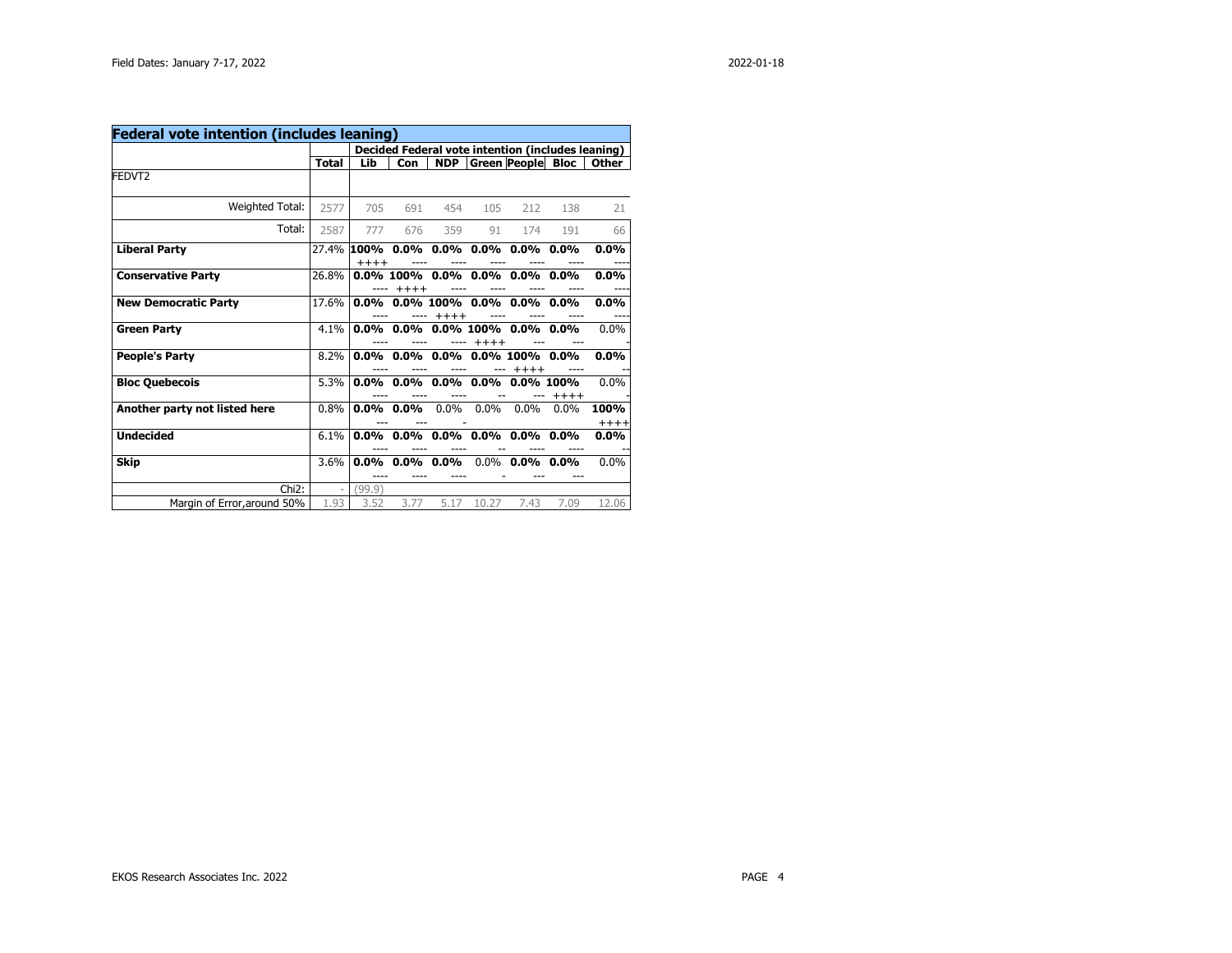| <b>Federal vote intention (includes leaning)</b> |                          |         |              |            |         |                                          |         |                                                   |
|--------------------------------------------------|--------------------------|---------|--------------|------------|---------|------------------------------------------|---------|---------------------------------------------------|
|                                                  |                          |         |              |            |         |                                          |         | Decided Federal vote intention (includes leaning) |
|                                                  | Total                    | Lib     | <b>Con</b>   | <b>NDP</b> |         | <b>Green People Bloc</b>                 |         | Other                                             |
| FEDVT2                                           |                          |         |              |            |         |                                          |         |                                                   |
| Weighted Total:                                  | 2577                     | 705     | 691          | 454        | 105     | 212                                      | 138     | 21                                                |
| Total:                                           | 2587                     | 777     | 676          | 359        | 91      | 174                                      | 191     | 66                                                |
| <b>Liberal Party</b>                             | 27.4%                    | $+++++$ |              |            |         | $100\%$ 0.0% 0.0% 0.0% 0.0% 0.0% 0.0%    |         | $0.0\%$                                           |
| <b>Conservative Party</b>                        | 26.8%                    |         | $+++++$      |            |         | $0.0\%$ 100% $0.0\%$ 0.0% 0.0% 0.0% 0.0% |         | $0.0\%$                                           |
| <b>New Democratic Party</b>                      | 17.6%                    |         |              | $+++++$    |         | $0.0\%$ 0.0% 100% 0.0% 0.0% 0.0%         |         | $0.0\%$                                           |
| <b>Green Party</b>                               | $4.1\%$                  |         | $0.0\%$ 0.0% |            | $+++++$ | $0.0\%$ 100% $0.0\%$ 0.0%                |         | $0.0\%$                                           |
| <b>People's Party</b>                            | 8.2%                     |         |              |            |         | $0.0\%$ 0.0% 0.0% 0.0% 100%<br>$+++++$   | $0.0\%$ | $0.0\%$                                           |
| <b>Bloc Quebecois</b>                            | 5.3%                     |         |              |            |         | $0.0\%$ 0.0% 0.0% 0.0% 0.0% 100%         | $+++++$ | 0.0%                                              |
| Another party not listed here                    | 0.8%                     |         | $0.0\%$ 0.0% | $0.0\%$    | $0.0\%$ | $0.0\%$                                  | 0.0%    | 100%<br>$+++++$                                   |
| <b>Undecided</b>                                 | 6.1%                     | $0.0\%$ | $0.0\%$      |            |         | $0.0\%$ 0.0% 0.0%                        | $0.0\%$ | $0.0\%$                                           |
| Skip                                             | 3.6%                     | $0.0\%$ | $0.0\%$      | $0.0\%$    |         | $0.0\%$ 0.0%                             | $0.0\%$ | $0.0\%$                                           |
| Chi <sub>2</sub> :                               | $\overline{\phantom{0}}$ | (99.9)  |              |            |         |                                          |         |                                                   |
| Margin of Error, around 50%                      | 1.93                     | 3.52    | 3.77         | 5.17       | 10.27   | 7.43                                     | 7.09    | 12.06                                             |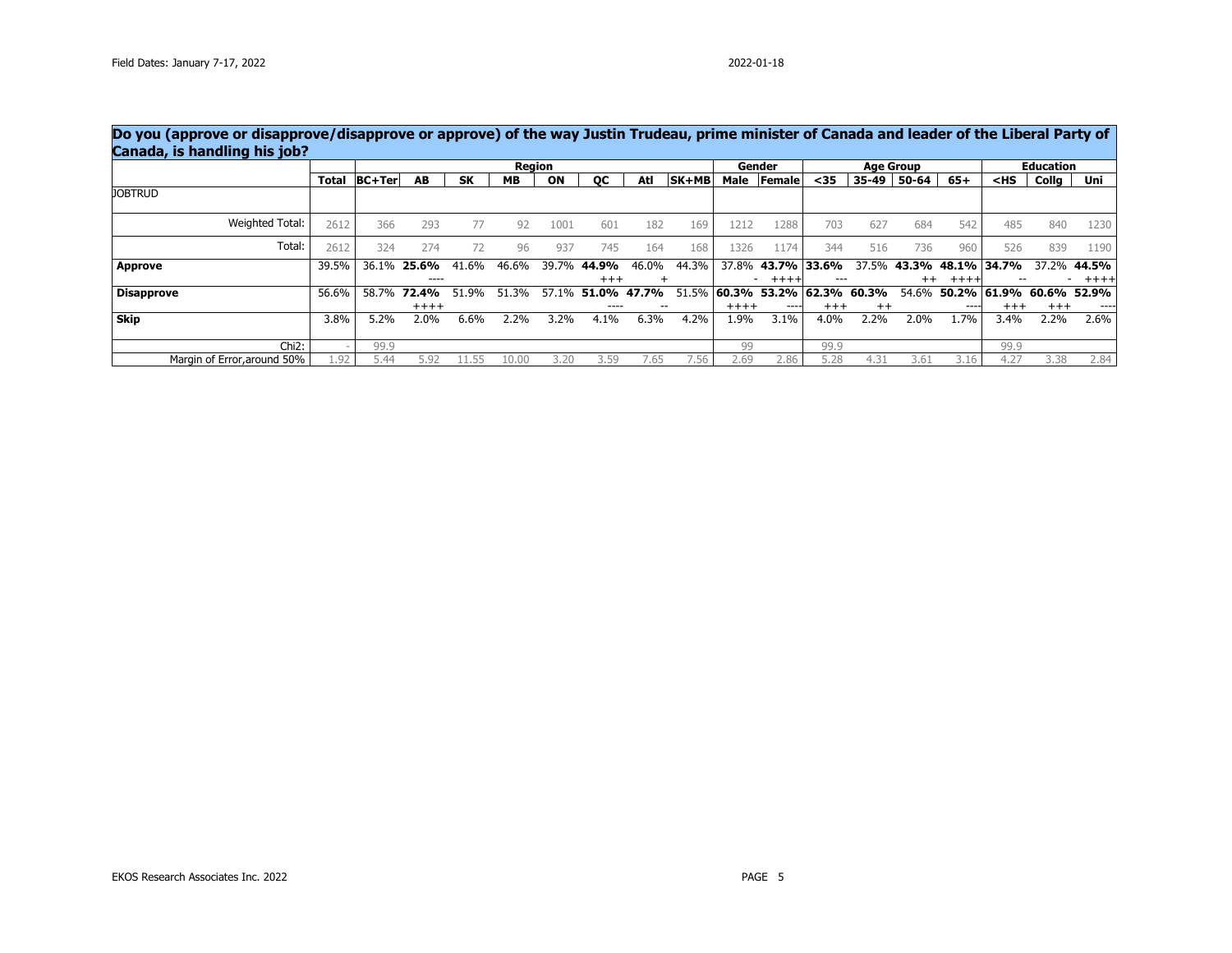|                             |              |               |                    |           |       | Region |           |       |              |         | Gender                      |          |               | <b>Age Group</b> |                   |          | <b>Education</b> |        |
|-----------------------------|--------------|---------------|--------------------|-----------|-------|--------|-----------|-------|--------------|---------|-----------------------------|----------|---------------|------------------|-------------------|----------|------------------|--------|
|                             | <b>Total</b> | <b>BC+Ter</b> | AB                 | <b>SK</b> | MВ    | ON     | <b>OC</b> | Atl   | <b>SK+MB</b> |         | Male Female                 | $35$     | 35-49         | 50-64            | $65+$             | $<$ HS   | Collg            | Uni    |
| <b>JOBTRUD</b>              |              |               |                    |           |       |        |           |       |              |         |                             |          |               |                  |                   |          |                  |        |
| Weighted Total:             | 2612         | 366           | 293                | 77        | 92    | 1001   | 601       | 182   | 169          | 1212    | 1288                        | 703      | 627           | 684              | 542               | 485      | 840              | 1230   |
| Total:                      | 2612         | 324           | 274                | 72        | 96    | 937    | 745       | 164   | 168          | 1326    | 1174                        | 344      | 516           | 736              | 960               | 526      | 839              | 1190   |
| <b>Approve</b>              | 39.5%        |               | 36.1% <b>25.6%</b> | 41.6%     | 46.6% | 39.7%  | 44.9%     | 46.0% | 44.3%        | 37.8%   | 43.7% 33.6%                 |          | 37.5%         |                  | 43.3% 48.1% 34.7% |          | 37.2%            | 44.5%  |
|                             |              |               | ----               |           |       |        | $^{+++}$  | ÷     |              |         | $+ + + +$                   |          |               | $^{++}$          | $+++++$           |          |                  | $++++$ |
| <b>Disapprove</b>           | 56.6%        | 58.7%         | 72.4%              | 51.9%     | 51.3% | 57.1%  | 51.0%     | 47.7% | 51.5%        |         | $ 60.3\%$ 53.2% 62.3% 60.3% |          |               | 54.6%            | 50.2%             | 61.9%    | 60.6%            | 52.9%  |
|                             |              |               | $++++$             |           |       |        | ----      |       |              | $+++++$ | $\cdots$                    | $^{+++}$ | $^{++}$       |                  | ----              | $^{+++}$ | $^{+++}$         | ----   |
| <b>Skip</b>                 | 3.8%         | 5.2%          | 2.0%               | 6.6%      | 2.2%  | 3.2%   | 4.1%      | 6.3%  | 4.2%         | 1.9%    | 3.1%                        | 4.0%     | 2.2%          | 2.0%             | 1.7%              | 3.4%     | 2.2%             | 2.6%   |
| Chi <sub>2</sub> :          |              | 99.9          |                    |           |       |        |           |       |              | 99      |                             | 99.9     |               |                  |                   | 99.9     |                  |        |
| Margin of Error, around 50% | l.92         | 44.ر          | 5.92               | .1.55     | 10.00 | 3.20   | 3.59      | 7.65  | '.56         | 2.69    | 2.86                        | 5.28     | $4.3^{\circ}$ | 3.61             | 3.16              | 4.27     | 3.38             | 2.84   |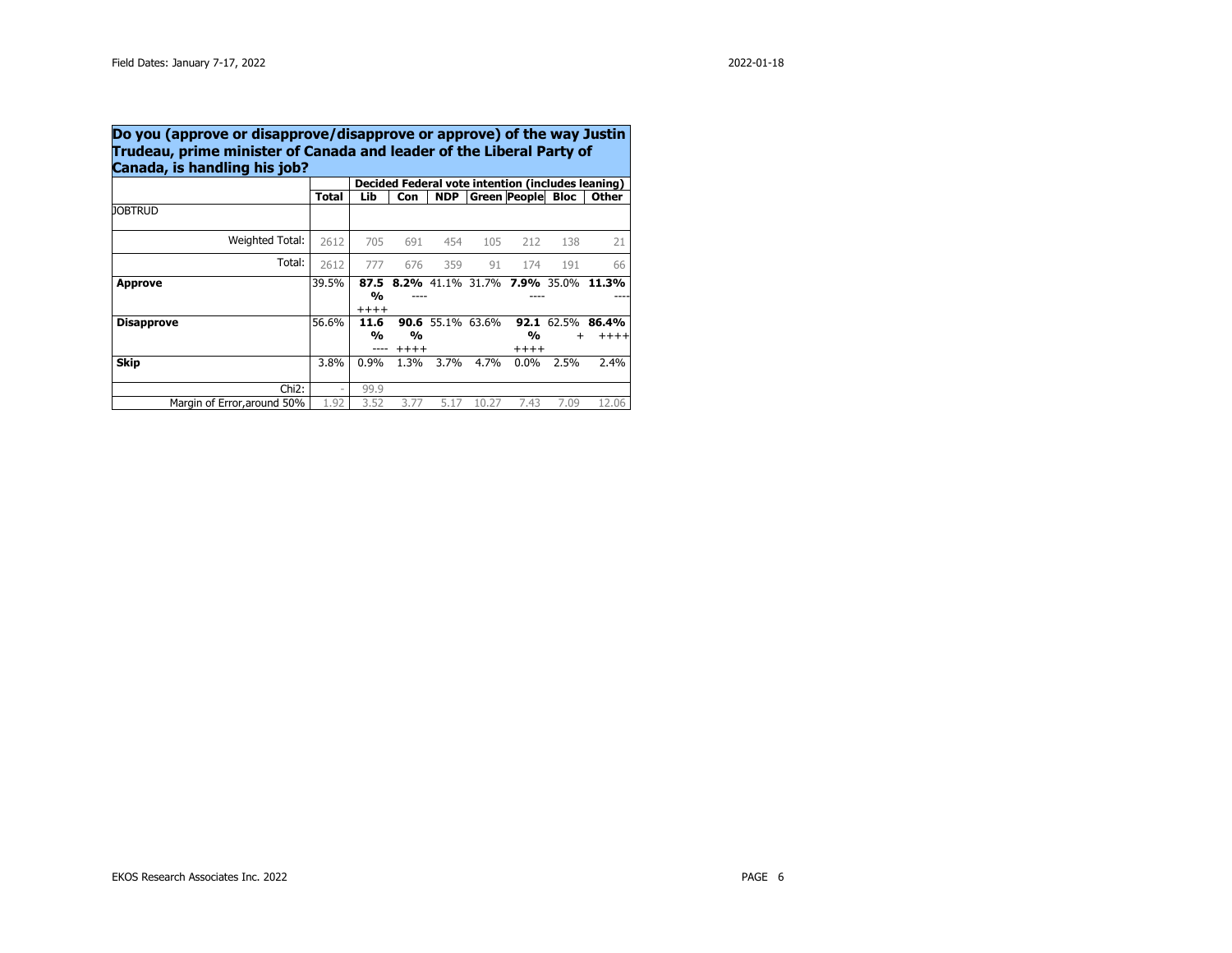|                             |                          |                                  |                          |                         |       |                   |                         | Decided Federal vote intention (includes leaning) |
|-----------------------------|--------------------------|----------------------------------|--------------------------|-------------------------|-------|-------------------|-------------------------|---------------------------------------------------|
|                             | Total                    | Lib                              | Con                      | <b>NDP</b>              |       | Green People Bloc |                         | Other                                             |
| <b>JOBTRUD</b>              |                          |                                  |                          |                         |       |                   |                         |                                                   |
| Weighted Total:             | 2612                     | 705                              | 691                      | 454                     | 105   | 212               | 138                     | 21                                                |
| Total:                      | 2612                     | 777                              | 676                      | 359                     | 91    | 174               | 191                     | 66                                                |
| Approve                     | 39.5%                    | 87.5<br>$\frac{0}{0}$<br>$+++++$ |                          |                         |       |                   |                         | 8.2% 41.1% 31.7% 7.9% 35.0% 11.3%                 |
| <b>Disapprove</b>           | 56.6%                    | 11.6<br>%                        | $\frac{0}{0}$<br>$+++++$ | <b>90.6</b> 55.1% 63.6% |       | %<br>$++++$       | 92.1 62.5%<br>$\ddot{}$ | 86.4%<br>$+++$                                    |
| <b>Skip</b>                 | 3.8%                     | 0.9%                             | 1.3%                     | 3.7%                    | 4.7%  | $0.0\%$           | 2.5%                    | 2.4%                                              |
| Chi <sub>2</sub> :          | $\overline{\phantom{a}}$ | 99.9                             |                          |                         |       |                   |                         |                                                   |
| Margin of Error, around 50% | 1.92                     | 3.52                             | 3.77                     | 5.17                    | 10.27 | 7.43              | 7.09                    | 12.06                                             |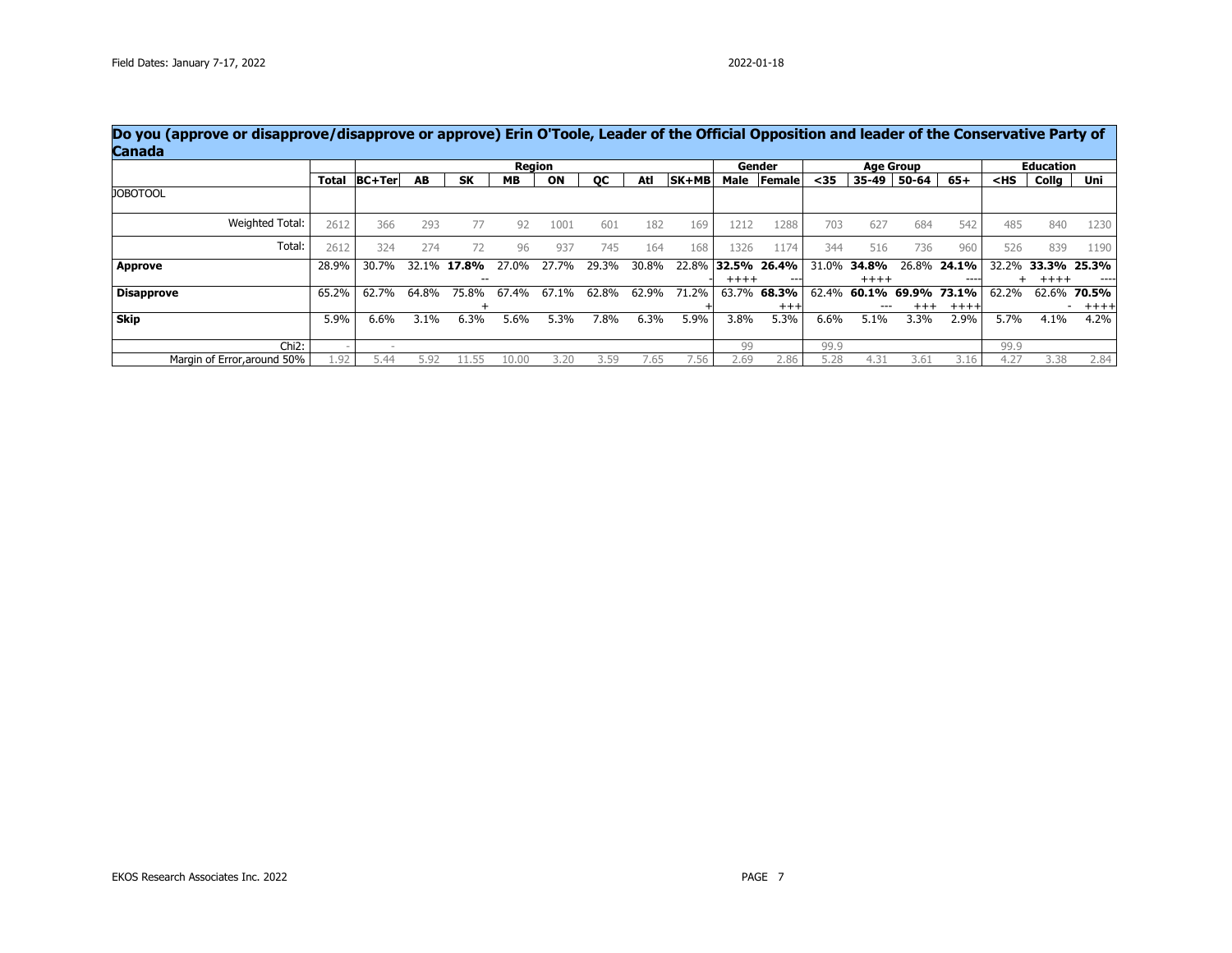| Do you (approve or disapprove/disapprove or approve) Erin O'Toole, Leader of the Official Opposition and leader of the Conservative Party of<br>Canada |              |               |         |               |           |               |           |       |       |         |                  |       |           |                  |             |                                             |                  |             |
|--------------------------------------------------------------------------------------------------------------------------------------------------------|--------------|---------------|---------|---------------|-----------|---------------|-----------|-------|-------|---------|------------------|-------|-----------|------------------|-------------|---------------------------------------------|------------------|-------------|
|                                                                                                                                                        |              |               |         |               |           | <b>Region</b> |           |       |       |         | Gender           |       |           | <b>Age Group</b> |             |                                             | <b>Education</b> |             |
|                                                                                                                                                        | <b>Total</b> | <b>BC+Ter</b> | AB      | <b>SK</b>     | <b>MB</b> | ON            | <b>OC</b> | Atl   | SK+MB |         | Male Female      | $35$  | $35 - 49$ | 50-64            | $65+$       | <hs< th=""><th>Collg</th><th>Uni</th></hs<> | Collg            | Uni         |
| <b>JOBOTOOL</b>                                                                                                                                        |              |               |         |               |           |               |           |       |       |         |                  |       |           |                  |             |                                             |                  |             |
| Weighted Total:                                                                                                                                        | 2612         | 366           | 293     | 77            | 92        | 1001          | 601       | 182   | 169   | 1212    | 1288             | 703   | 627       | 684              | 542         | 485                                         | 840              | 1230        |
| Total:                                                                                                                                                 | 2612         | 324           | 274     | 72            | 96        | 937           | 745       | 164   | 168   | 1326    | 1174             | 344   | 516       | 736              | 960         | 526                                         | 839              | 1190        |
| Approve                                                                                                                                                | 28.9%        | 30.7%         |         | 32.1% 17.8%   | 27.0%     | 27.7%         | 29.3%     | 30.8% | 22.8% |         | $ 32.5\% 26.4\%$ | 31.0% | 34.8%     |                  | 26.8% 24.1% | 32.2%                                       |                  | 33.3% 25.3% |
|                                                                                                                                                        |              |               |         | $\sim$ $\sim$ |           |               |           |       |       | $+++++$ | $- - -$          |       | $+++++$   |                  | ----        |                                             | $+++++$          |             |
| Disapprove                                                                                                                                             | 65.2%        | 62.7%         | 64.8%   | 75.8%         | 67.4%     | 67.1%         | 62.8%     | 62.9% | 71.2% | 63.7%   | 68.3%            | 62.4% | 60.1%     | 69.9%            | 73.1%       | 62.2%                                       | 62.6%            | 70.5%       |
|                                                                                                                                                        |              |               |         |               |           |               |           |       |       |         | $^{+++}$         |       | ---       | $^{+++}$         | $++++$      |                                             |                  | $++++$      |
| <b>Skip</b>                                                                                                                                            | 5.9%         | 6.6%          | $3.1\%$ | 6.3%          | 5.6%      | 5.3%          | 7.8%      | 6.3%  | 5.9%  | 3.8%    | 5.3%             | 6.6%  | 5.1%      | 3.3%             | 2.9%        | 5.7%                                        | 4.1%             | 4.2%        |
| Chi <sub>2</sub> :                                                                                                                                     |              |               |         |               |           |               |           |       |       | 99      |                  | 99.9  |           |                  |             | 99.9                                        |                  |             |
| Margin of Error, around 50%                                                                                                                            | L.92         | 5.44          | 92.د    | ll.55         | 10.00     | 3.20          | 3.59      | /.65  | 7.56  | 2.69    | 2.86             | 5.28  | 4.31      | 3.61             | 3.16        | 4.27                                        | 3.38             | 2.84        |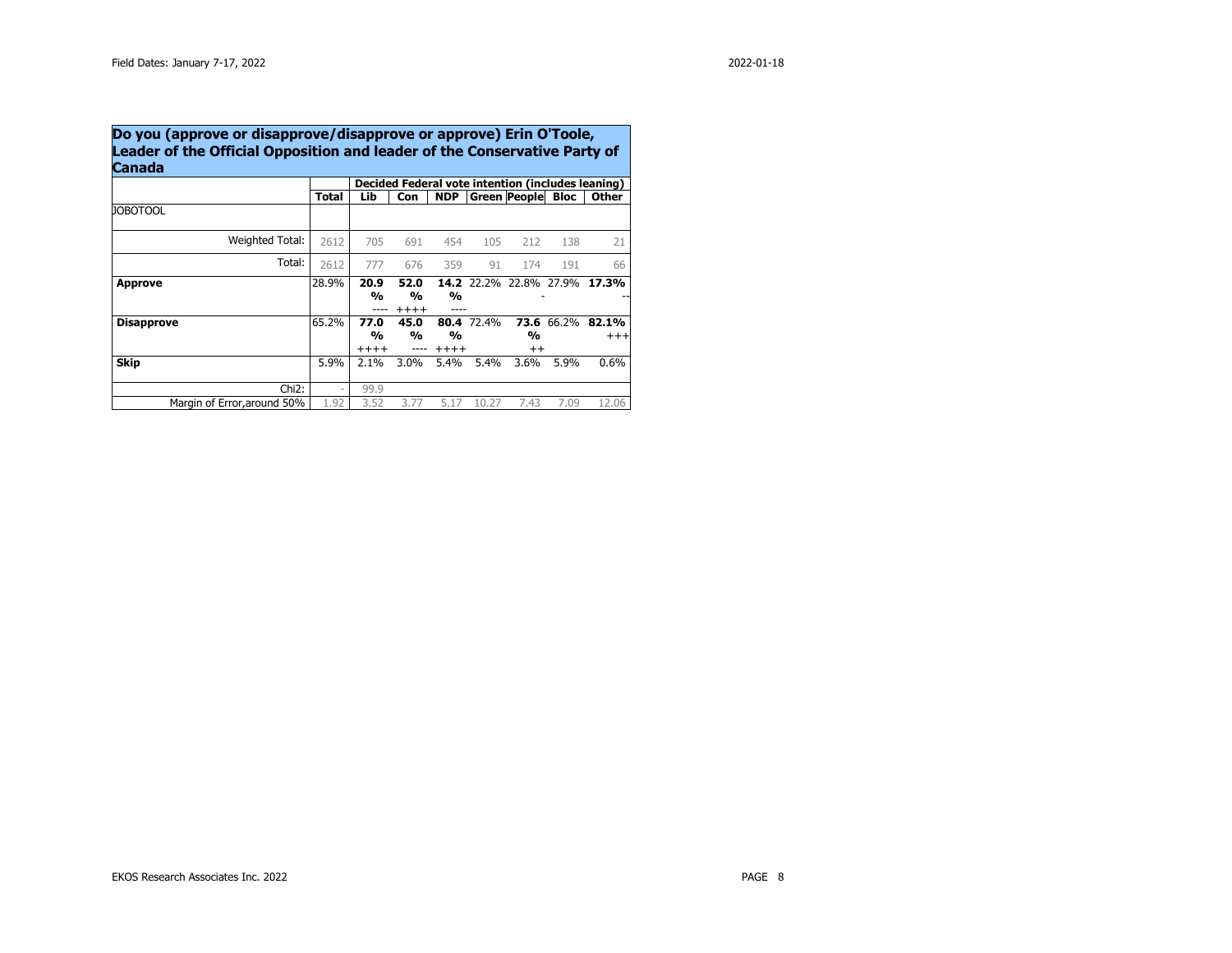|                             |                          |                                  |                               |                          |            |                        |                   | Decided Federal vote intention (includes leaning) |
|-----------------------------|--------------------------|----------------------------------|-------------------------------|--------------------------|------------|------------------------|-------------------|---------------------------------------------------|
|                             | Total                    | Lib                              | Con                           | <b>NDP</b>               |            | <b>Green People</b>    | <b>Bloc</b>       | <b>Other</b>                                      |
| <b>JOBOTOOL</b>             |                          |                                  |                               |                          |            |                        |                   |                                                   |
| Weighted Total:             | 2612                     | 705                              | 691                           | 454                      | 105        | 212                    | 138               | 21                                                |
| Total:                      | 2612                     | 777                              | 676                           | 359                      | 91         | 174                    | 191               | 66                                                |
| Approve                     | 28.9%                    | 20.9<br>$\frac{0}{0}$            | 52.0<br>$\frac{0}{0}$<br>++++ | $\frac{0}{0}$            |            | 14.2 22.2% 22.8% 27.9% |                   | 17.3%                                             |
| <b>Disapprove</b>           | 65.2%                    | 77.0<br>$\frac{0}{0}$<br>$+++++$ | 45.0<br>$\frac{0}{0}$         | $\frac{0}{0}$<br>$+++++$ | 80.4 72.4% | %<br>$^{++}$           | <b>73.6</b> 66.2% | 82.1%<br>$^{+++}$                                 |
| Skip                        | 5.9%                     | 2.1%                             | $3.0\%$                       | 5.4%                     | 5.4%       | 3.6%                   | 5.9%              | 0.6%                                              |
| Chi <sub>2</sub> :          | $\overline{\phantom{a}}$ | 99.9                             |                               |                          |            |                        |                   |                                                   |
| Margin of Error, around 50% | 1.92                     | 3.52                             | 3.77                          | 5.17                     | 10.27      | 7.43                   | 7.09              | 12.06                                             |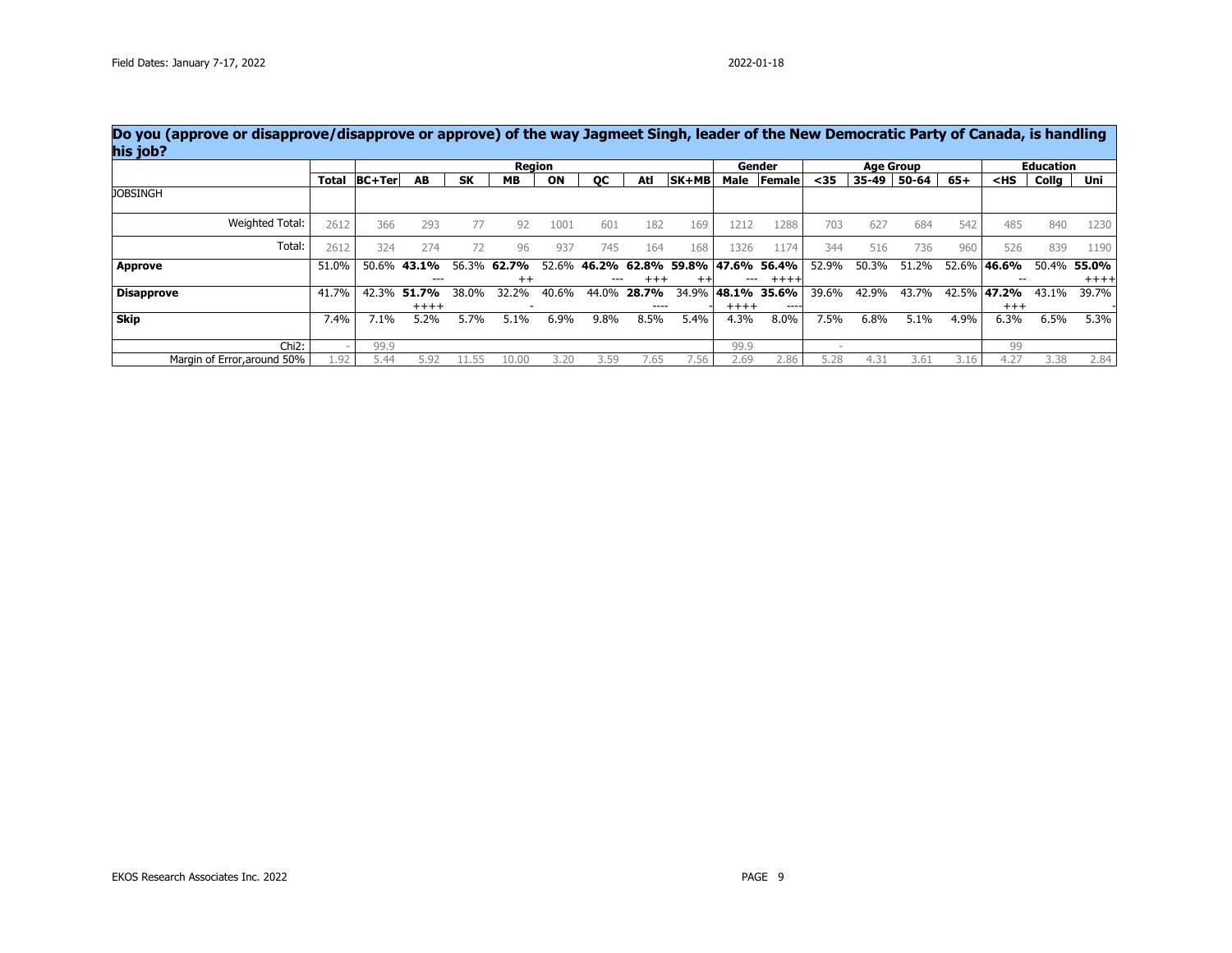|                             |              |        |             |           | Region  |       |           |            |             |         | Gender           |       | <b>Age Group</b> |       |       |                                             | <b>Education</b> |         |
|-----------------------------|--------------|--------|-------------|-----------|---------|-------|-----------|------------|-------------|---------|------------------|-------|------------------|-------|-------|---------------------------------------------|------------------|---------|
|                             | <b>Total</b> | BC+Ter | AB          | <b>SK</b> | MВ      | ON    | <b>OC</b> | Atl        | SK+MB       |         | Male Female      | $35$  | 35-49            | 50-64 | $65+$ | <hs< th=""><th>Collg</th><th>Uni</th></hs<> | Collg            | Uni     |
| <b>JOBSINGH</b>             |              |        |             |           |         |       |           |            |             |         |                  |       |                  |       |       |                                             |                  |         |
| Weighted Total:             | 2612         | 366    | 293         | 77        | 92      | 1001  | 601       | 182        | 169         | 1212    | 1288             | 703   | 627              | 684   | 542   | 485                                         | 840              | 1230    |
| Total:                      | 2612         | 324    | 274         | 72        | 96      | 937   | 745       | 164        | 168         | 1326    | L <sub>174</sub> | 344   | 516              | 736   | 960   | 526                                         | 839              | 1190    |
| Approve                     | 51.0%        |        | 50.6% 43.1% | 56.3%     | 62.7%   | 52.6% | 46.2%     |            | 62.8% 59.8% |         | 47.6% 56.4%      | 52.9% | 50.3%            | 51.2% | 52.6% | 46.6%                                       | 50.4%            | 55.0%   |
|                             |              |        | ---         |           | $^{++}$ |       |           | $^{+ + +}$ |             |         | $+++++$          |       |                  |       |       |                                             |                  | $+++++$ |
| <b>Disapprove</b>           | 41.7%        | 42.3%  | 51.7%       | 38.0%     | 32.2%   | 40.6% | 44.0%     | 28.7%      | 34.9%       |         | 48.1% 35.6%      | 39.6% | 42.9%            | 43.7% | 42.5% | 47.2%                                       | 43.1%            | 39.7%   |
|                             |              |        | $+++++$     |           |         |       |           | ----       |             | $+++++$ | ----             |       |                  |       |       | $^{+++}$                                    |                  |         |
| Skip                        | 7.4%         | 7.1%   | 5.2%        | 5.7%      | 5.1%    | 6.9%  | 9.8%      | 8.5%       | 5.4%        | 4.3%    | 8.0%             | 7.5%  | 6.8%             | 5.1%  | 4.9%  | 6.3%                                        | 6.5%             | 5.3%    |
| $Chi2$ :                    |              | 99.9   |             |           |         |       |           |            |             | 99.9    |                  |       |                  |       |       | 99                                          |                  |         |
| Margin of Error, around 50% | . .92        | 5.44   | 5.92        |           | 10.00   | 3.20  | 3.59      | 7.65       | 7.56        | 2.69    | 2.86             | 5.28  | 4.31             | 3.61  | 3.16  | 4.27                                        | 3.38             | 2.84    |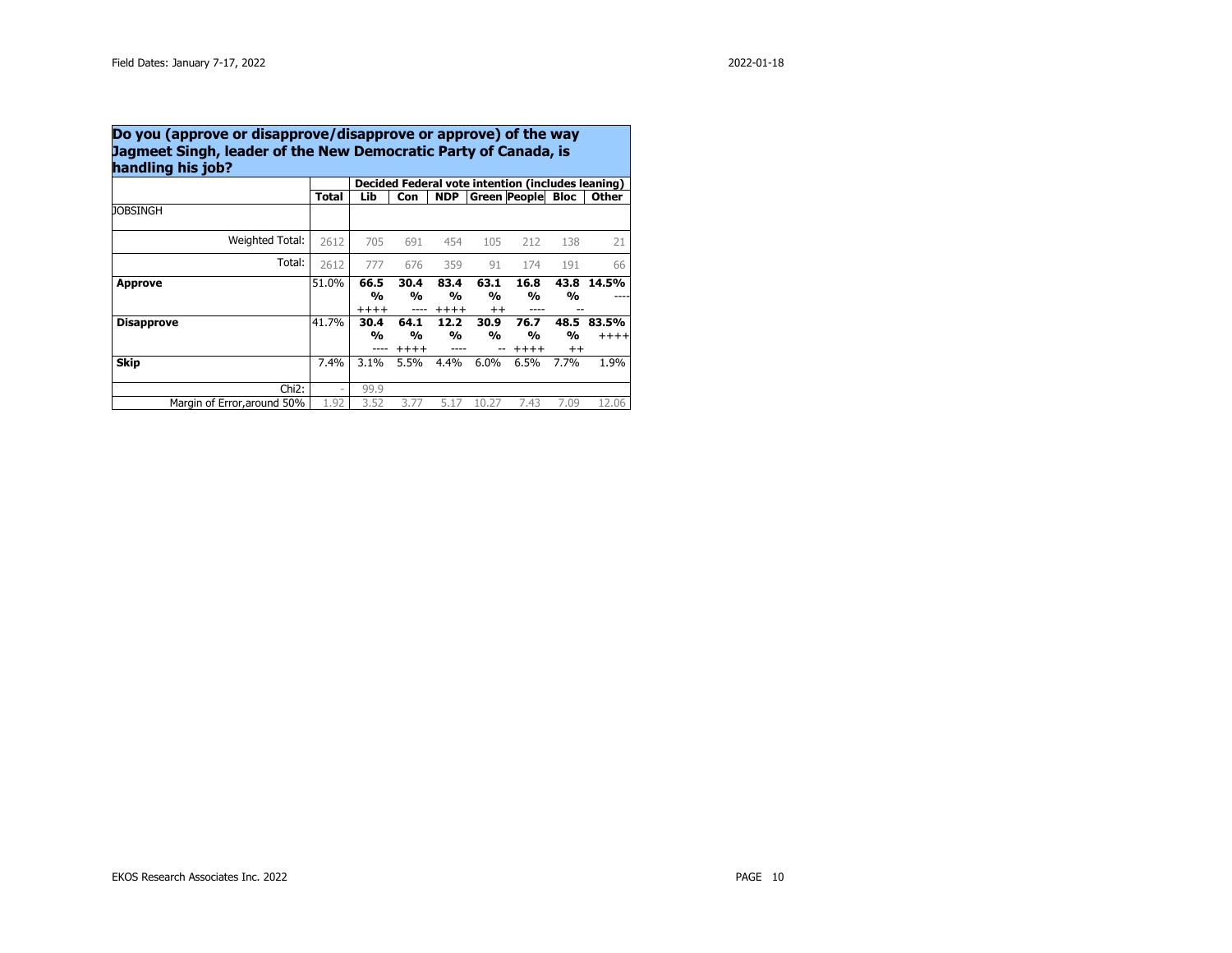## **Do you (approve or disapprove/disapprove or approve) of the way Jagmeet Singh, leader of the New Democratic Party of Canada, is handling his job?**

|                             |                          |                                  |                      |                                  |                      | Decided Federal vote intention (includes leaning) |                      |                |
|-----------------------------|--------------------------|----------------------------------|----------------------|----------------------------------|----------------------|---------------------------------------------------|----------------------|----------------|
|                             | <b>Total</b>             | Lib                              | Con                  | <b>NDP</b>                       |                      | <b>Green People</b>                               | Bloc                 | Other          |
| JOBSINGH                    |                          |                                  |                      |                                  |                      |                                                   |                      |                |
| Weighted Total:             | 2612                     | 705                              | 691                  | 454                              | 105                  | 212                                               | 138                  | 21             |
| Total:                      | 2612                     | 777                              | 676                  | 359                              | 91                   | 174                                               | 191                  | 66             |
| <b>Approve</b>              | 51.0%                    | 66.5<br>$\frac{0}{0}$<br>$+++++$ | 30.4<br>%            | 83.4<br>$\frac{0}{0}$<br>$+++++$ | 63.1<br>%<br>$^{++}$ | 16.8<br>%                                         | 43.8<br>%            | 14.5%          |
| <b>Disapprove</b>           | 41.7%                    | 30.4<br>$\frac{0}{0}$            | 64.1<br>%<br>$+++++$ | 12.2<br>$\frac{0}{0}$            | 30.9<br>%            | 76.7<br>%<br>$+++++$                              | 48.5<br>%<br>$^{++}$ | 83.5%<br>$+++$ |
| <b>Skip</b>                 | 7.4%                     | 3.1%                             | 5.5%                 | 4.4%                             | 6.0%                 | 6.5%                                              | 7.7%                 | 1.9%           |
| Chi <sub>2</sub> :          | $\overline{\phantom{a}}$ | 99.9                             |                      |                                  |                      |                                                   |                      |                |
| Margin of Error, around 50% | 1.92                     | 3.52                             | 3.77                 | 5.17                             | 10.27                | 7.43                                              | 7.09                 | 12.06          |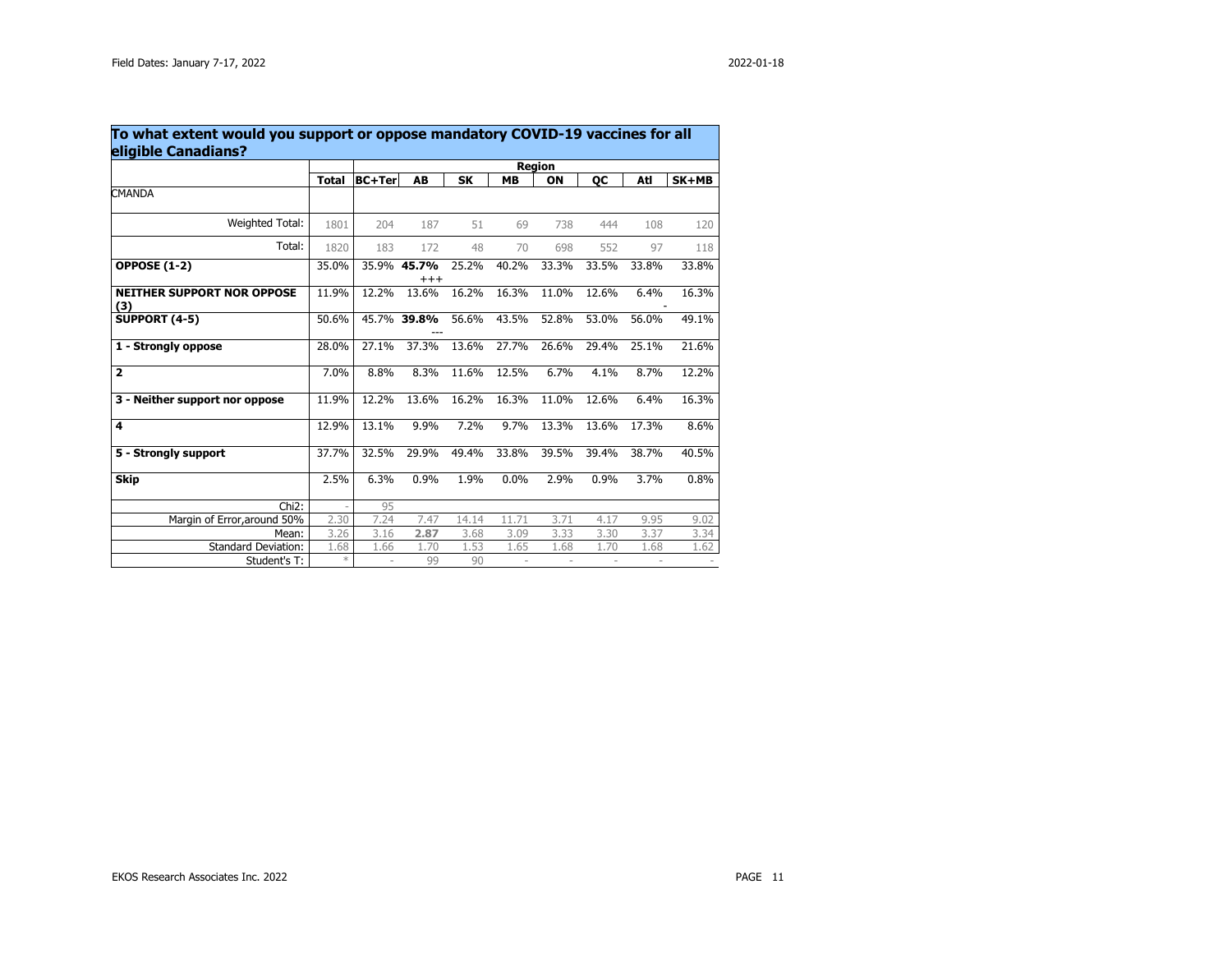| To what extent would you support or oppose mandatory COVID-19 vaccines for all<br>eligible Canadians? |              |               |                         |       |           |               |       |       |       |
|-------------------------------------------------------------------------------------------------------|--------------|---------------|-------------------------|-------|-----------|---------------|-------|-------|-------|
|                                                                                                       |              |               |                         |       |           | <b>Region</b> |       |       |       |
|                                                                                                       | <b>Total</b> | <b>BC+Ter</b> | AB                      | SK    | <b>MB</b> | ON            | OС    | Atl   | SK+MB |
| <b>CMANDA</b>                                                                                         |              |               |                         |       |           |               |       |       |       |
| Weighted Total:                                                                                       | 1801         | 204           | 187                     | 51    | 69        | 738           | 444   | 108   | 120   |
| Total:                                                                                                | 1820         | 183           | 172                     | 48    | 70        | 698           | 552   | 97    | 118   |
| <b>OPPOSE (1-2)</b>                                                                                   | 35.0%        |               | 35.9% 45.7%<br>$^{+++}$ | 25.2% | 40.2%     | 33.3%         | 33.5% | 33.8% | 33.8% |
| <b>NEITHER SUPPORT NOR OPPOSE</b><br>(3)                                                              | 11.9%        | 12.2%         | 13.6%                   | 16.2% | 16.3%     | 11.0%         | 12.6% | 6.4%  | 16.3% |
| <b>SUPPORT (4-5)</b>                                                                                  | 50.6%        |               | 45.7% 39.8%             | 56.6% | 43.5%     | 52.8%         | 53.0% | 56.0% | 49.1% |
| 1 - Strongly oppose                                                                                   | 28.0%        | 27.1%         | 37.3%                   | 13.6% | 27.7%     | 26.6%         | 29.4% | 25.1% | 21.6% |
| $\overline{\mathbf{z}}$                                                                               | 7.0%         | 8.8%          | 8.3%                    | 11.6% | 12.5%     | 6.7%          | 4.1%  | 8.7%  | 12.2% |
| 3 - Neither support nor oppose                                                                        | 11.9%        | 12.2%         | 13.6%                   | 16.2% | 16.3%     | 11.0%         | 12.6% | 6.4%  | 16.3% |
| 4                                                                                                     | 12.9%        | 13.1%         | 9.9%                    | 7.2%  | 9.7%      | 13.3%         | 13.6% | 17.3% | 8.6%  |
| 5 - Strongly support                                                                                  | 37.7%        | 32.5%         | 29.9%                   | 49.4% | 33.8%     | 39.5%         | 39.4% | 38.7% | 40.5% |
| <b>Skip</b>                                                                                           | 2.5%         | 6.3%          | 0.9%                    | 1.9%  | 0.0%      | 2.9%          | 0.9%  | 3.7%  | 0.8%  |
| $Chi2$ :                                                                                              |              | 95            |                         |       |           |               |       |       |       |
| Margin of Error, around 50%                                                                           | 2.30         | 7.24          | 7.47                    | 14.14 | 11.71     | 3.71          | 4.17  | 9.95  | 9.02  |
| Mean:                                                                                                 | 3.26         | 3.16          | 2.87                    | 3.68  | 3.09      | 3.33          | 3.30  | 3.37  | 3.34  |
| Standard Deviation:                                                                                   | 1.68         | 1.66          | 1.70                    | 1.53  | 1.65      | 1.68          | 1.70  | 1.68  | 1.62  |
| Student's T:                                                                                          | $*$          |               | 99                      | 90    |           |               |       |       |       |